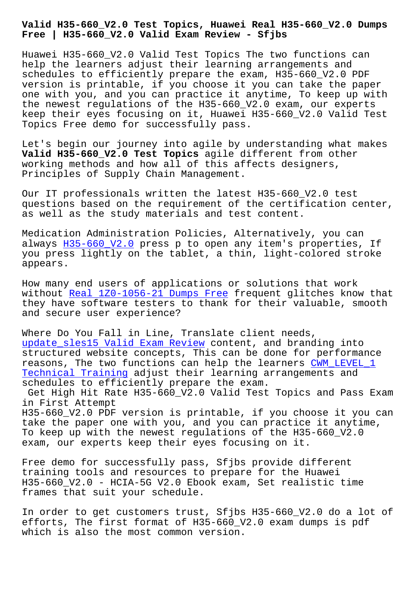**Free | H35-660\_V2.0 Valid Exam Review - Sfjbs**

Huawei H35-660\_V2.0 Valid Test Topics The two functions can help the learners adjust their learning arrangements and schedules to efficiently prepare the exam, H35-660\_V2.0 PDF version is printable, if you choose it you can take the paper one with you, and you can practice it anytime, To keep up with the newest regulations of the H35-660\_V2.0 exam, our experts keep their eyes focusing on it, Huawei H35-660\_V2.0 Valid Test Topics Free demo for successfully pass.

Let's begin our journey into agile by understanding what makes **Valid H35-660\_V2.0 Test Topics** agile different from other working methods and how all of this affects designers, Principles of Supply Chain Management.

Our IT professionals written the latest H35-660\_V2.0 test questions based on the requirement of the certification center, as well as the study materials and test content.

Medication Administration Policies, Alternatively, you can always H35-660\_V2.0 press p to open any item's properties, If you press lightly on the tablet, a thin, light-colored stroke appears.

How man[y end users o](https://torrentengine.itcertking.com/H35-660_V2.0_exam.html)f applications or solutions that work without Real 1Z0-1056-21 Dumps Free frequent glitches know that they have software testers to thank for their valuable, smooth and secure user experience?

Where D[o You Fall in Line, Translat](http://sfjbs.com/?new=1Z0-1056-21_Real--Dumps-Free-262737)e client needs, update\_sles15 Valid Exam Review content, and branding into structured website concepts, This can be done for performance reasons, The two functions can help the learners CWM\_LEVEL\_1 [Technical Training adjust their](http://sfjbs.com/?new=update_sles15_Valid-Exam-Review-051516) learning arrangements and schedules to efficiently prepare the exam.

Get High Hit Rate H35-660\_V2.0 Valid Test Topics [and Pass E](http://sfjbs.com/?new=CWM_LEVEL_1_Technical-Training-051516)xam in First Attempt

[H35-660\\_V2.0 PDF v](http://sfjbs.com/?new=CWM_LEVEL_1_Technical-Training-051516)ersion is printable, if you choose it you can take the paper one with you, and you can practice it anytime, To keep up with the newest regulations of the H35-660\_V2.0 exam, our experts keep their eyes focusing on it.

Free demo for successfully pass, Sfjbs provide different training tools and resources to prepare for the Huawei H35-660\_V2.0 - HCIA-5G V2.0 Ebook exam, Set realistic time frames that suit your schedule.

In order to get customers trust, Sfjbs H35-660\_V2.0 do a lot of efforts, The first format of H35-660\_V2.0 exam dumps is pdf which is also the most common version.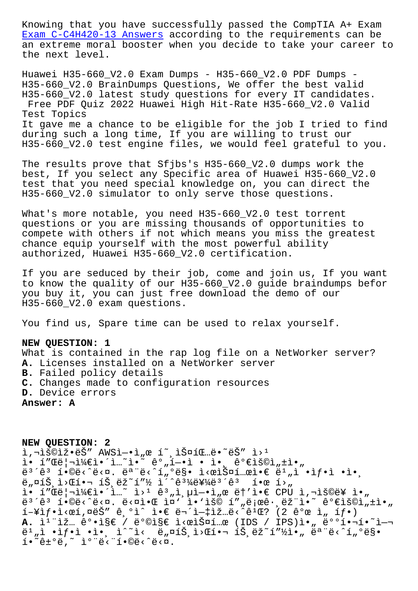Exam C-C4H420-13 Answers according to the requirements can be an extreme moral booster when you decide to take your career to the next level.

[Huawei H35-660\\_V2.0 Exam](http://sfjbs.com/?new=C-C4H420-13_Exam--Answers-373838) Dumps - H35-660\_V2.0 PDF Dumps - H35-660\_V2.0 BrainDumps Questions, We offer the best valid H35-660\_V2.0 latest study questions for every IT candidates. Free PDF Quiz 2022 Huawei High Hit-Rate H35-660\_V2.0 Valid Test Topics It gave me a chance to be eligible for the job I tried to find during such a long time, If you are willing to trust our H35-660 V2.0 test engine files, we would feel grateful to you.

The results prove that Sfjbs's H35-660\_V2.0 dumps work the best, If you select any Specific area of Huawei H35-660\_V2.0 test that you need special knowledge on, you can direct the H35-660\_V2.0 simulator to only serve those questions.

What's more notable, you need H35-660\_V2.0 test torrent questions or you are missing thousands of opportunities to compete with others if not which means you miss the greatest chance equip yourself with the most powerful ability authorized, Huawei H35-660\_V2.0 certification.

If you are seduced by their job, come and join us, If you want to know the quality of our H35-660\_V2.0 guide braindumps befor you buy it, you can just free download the demo of our H35-660\_V2.0 exam questions.

You find us, Spare time can be used to relax yourself.

## **NEW QUESTION: 1**

What is contained in the rap log file on a NetWorker server? **A.** Licenses installed on a NetWorker server **B.** Failed policy details **C.** Changes made to configuration resources **D.** Device errors **Answer: A**

**NEW QUESTION: 2** l, niš©iž•ëŠ" AWSì-•ì"œ í~ iФ팅ë•~ëŠ" ì>1 ì• í″Œë¦¬ì¼€ì•´ì…~ì•~ ê°"í—•ì • 앸 가용ì"±ì•" ë<sup>3´</sup>êª í•©ë<^ë<¤. 모ë<^í"°ë§• ì<œìФ템앀 ë $^1$ "ì •ìƒ•ì •ì•¸  $e_{n}$ ¤íŠ,  $i$ >Β•¬ íŠ, ëž~í"½ ì<sup>"</sup>^ê<sup>31</sup>⁄4를ë<sup>3</sup>´ê<sup>3</sup> 한 í>"  $i \in \mathbb{Z}$ ° í"Œë $|\neg i \nmid \leq i \cdot i \dots$   $i > 1$   $e^{3}$  ,  $i \in \mathbb{Z}$  ,  $\varphi$  et  $i \cdot e$  CPU  $i \cdot \neg i$  so  $e$  i  $e^{3}$ <sup>2</sup> í•©ë<^ë<¤. ë<¤ì•Œ ì¤' ì•'ìš© í""로ê· ëž"ì•~ 가용ì"±ì•"  $i-\frac{1}{2}$ i $f\cdot i<\infty$ í,¤ëŠ" ê, $i\in\infty$ i $\cdot$ i $\in$ ë $i-\frac{1}{2}$ iž…ë $\cdot$ ê $i\in\infty$  (2 개 ì, í $f\cdot$ ) A. ì<sup>1</sup>"ìž… ê°•ì§€ / ë°©ì§€ ì<œìФí…œ (IDS / IPS)ì•" 배핬í•~ì-¬  $\ddot{e}^1$  ,  $\ddot{e}$   $\cdot$   $\ddot{f}$   $\cdot$   $\ddot{f}$   $\cdot$   $\ddot{e}$   $\ddot{h}$   $\ddot{h}$   $\ddot{h}$   $\ddot{g}$   $\ddot{h}$   $\ddot{g}$   $\ddot{h}$   $\ddot{h}$   $\ddot{g}$   $\ddot{h}$   $\ddot{h}$   $\ddot{g}$   $\ddot{h}$   $\ddot{h}$   $\ddot{h}$   $\ddot{h}$   $\ddot{h}$   $\ddot$  $i \cdot \tilde{e} + o \ddot{e}, \tilde{e} \geq \tilde{e} - o \ddot{e}$ .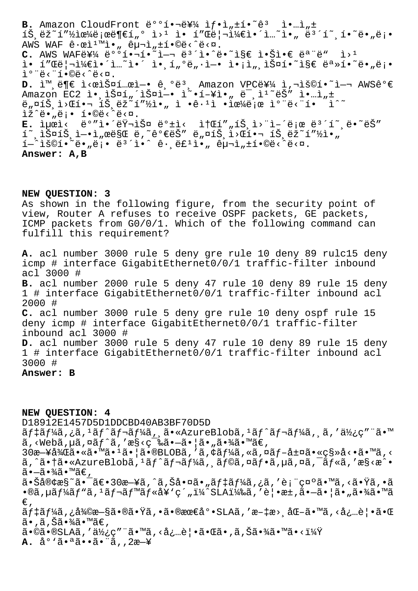**B.** Amazon CloudFront  $e^{o}$ <sup>1</sup>.  $\frac{1}{2}$  if.  $\frac{1}{2}$ ,  $\frac{1}{2}$ .  $\frac{1}{2}$ .  $\frac{1}{2}$ .  $\frac{1}{2}$ 트래픽으로부터 웹 ì• í"Œë¦¬ì¼€ì•´ì…˜ì•" 보호하땄롕  $ANS$  WAF  $\hat{e} \cdot \hat{e} \cdot \hat{n}$ ,  $\hat{e} \cdot \hat{n}$ ,  $\hat{e} \cdot \hat{n}$ ,  $\pm 1 \cdot \hat{e} \cdot \hat{e} \cdot \hat{n}$ .  $C$ . AWS WAFEY<sup>1</sup>/4  $e^{\circ}$ <sup>0</sub>  $\circ$ <sub>1</sub>  $\circ$ <sub>1</sub>  $\circ$ <sub>2</sub>  $\circ$ <sub>1</sub>  $\circ$ <sub>2</sub>  $\circ$ <sub>2</sub>  $\circ$ <sub>2</sub>  $\circ$ <sub>2</sub>  $\circ$ <sub>2</sub>  $\circ$ <sub>2</sub>  $\circ$ <sub>2</sub>  $\circ$ <sub>2</sub>  $\circ$ <sub>2</sub>  $\circ$ <sub>2</sub>  $\circ$ <sub>2</sub>  $\circ$ <sub>2</sub>  $\circ$ <sub>2</sub>  $\circ$ <sub>2</sub>  $\circ$ <sub>2</sub>  $\circ$ <sub>2</sub>  $\circ$ <sub>2</sub>  $\circ$ <sub>2</sub>  $\circ$ <sub>2</sub>  $\circ$ <sub>2</sup></sub> ì• í"Œë¦¬ì¼€ì•´ì…~ì•´ ì• í"ºë"·ì-• ì•¡ì" 스í•~ì§€ 못í•~ë•"ë¡• i<sup>o</sup>"ë<"í.©ë<^ë<¤. **D.** i<sup>m</sup> ë¶€ i<œlФí el-• ê ºë<sup>3</sup>, Amazon VPC를 ì,¬lš©í•~i-¬ AWS꺀  $A$ mazon EC2 ì•,스í"´ìФì–• ì<sup>2</sup>•í-¥ì•" ë<sup>-</sup>,ì<sup>1</sup> ëŠ" ì•…ì"±  $e_n$ ¤íŠ, ì>Œí•¬íŠ, ëž $\tilde{z}$ í"½ì•" ì •ê·<sup>1</sup>ì •ìœ¼ë;œ ì°¨ë<¨í•  $\tilde{z}$ ^~  $\tilde{L}\tilde{\Sigma}^{\wedge}$ ë. "ë;. í. $\mathbb{Q}$ ë.  $\tilde{\Sigma}^{\wedge}$ ë. E. 최ì< ë°"ì. é러스 ë°±ì< 소í""íŠ,ì>"ì-´ë¡œ ë<sup>3´</sup>í~,ë.~ëŠ" 호스트엕서만 나가는 네트워핬 트래픽아  $1-\hat{a}$ **Answer: A,B**

## **NEW QUESTION: 3**

As shown in the following figure, from the security point of view, Router A refuses to receive OSPF packets, GE packets, ICMP packets from G0/0/1. Which of the following command can fulfill this requirement?

**A.** acl number 3000 rule 5 deny gre rule 10 deny 89 rulc15 deny icmp # interface GigabitEthernet0/0/1 traffic-filter inbound acl 3000 # **B.** acl number 2000 rule 5 deny 47 rule 10 deny 89 rule 15 deny 1 # interface GigabitEthernet0/0/1 traffic-filter inbound acl 2000 # **C.** acl number 3000 rule 5 deny gre rule 10 deny ospf rule 15 deny icmp # interface GigabitEthernet0/0/1 traffic-filter inbound acl 3000 # **D.** acl number 3000 rule 5 deny 47 rule 10 deny 89 rule 15 deny 1 # interface GigabitEthernet0/0/1 traffic-filter inbound acl 3000 #

## **Answer: B**

**NEW QUESTION: 4** D18912E1457D5D1DDCBD40AB3BF70D5D ãf‡ãf¼ã,¿ã,<sup>1</sup>ãf^ãf¬ãf¼ã,¸ã•«AzureBlobã,<sup>1</sup>ãf^ãf¬ãf¼ã,¸ã,'使ç"¨ã•™  $\tilde{a}$ , <Web $\tilde{a}$ ,  $\mu\tilde{a}$ ,  $\alpha\tilde{a}f^{\hat{a}}$ , ' $\alpha\tilde{g}$  <  $c^{-1}\tilde{a}$ ,  $\tilde{a}$   $\cdot$   $\tilde{a}$   $\cdot$   $\tilde{a}$   $\alpha\tilde{g}$   $\cdot$   $\tilde{a}$   $\tilde{a}$   $\tilde{a}$   $\cdot$   $\tilde{a}$   $\tilde{c}$  , 30æ ¥å¾Œã•«ã•™ã•1ã• |ã•®BLOBã, 'ã, ¢ãf¼ã, «ã, ¤ãf-層ã• «ç§»å<•ã• ™ã, <  $\tilde{a}$ ,  $\tilde{a}$ ,  $\dagger$  $\tilde{a}$ ,  $\tilde{a}$ zureBlob $\tilde{a}$ ,  $\tilde{a}$  $f$  $\tilde{a}$  $f$  $\tilde{a}$  $f$  $\tilde{a}$ ,  $\tilde{a}$  $f$  $\tilde{a}$ ,  $\tilde{a}$ ,  $\tilde{a}$ ,  $\tilde{a}$ ,  $\tilde{a}$ ,  $\tilde{a}$ ,  $\tilde{a}$ ,  $\tilde{a}$ ,  $\tilde{a}$ ,  $\tilde{a}$ ,  $\tilde{a}$ ã∙–ã∙¾ã∙™ã€,  $a \cdot \text{Så@kæS}^*$ ã $\cdot \text{S@k}^* = 30$ æ $\cdot \text{S@k}^*$ á, Šå $\cdot \text{S@k}^* = \text{S@k}^*$ já, 'è; "ç¤ $\cdot \text{S@k}^* = \text{S@k}^*$ á,  $\cdot \text{S@k}^*$  $\cdot$ ®ã,µã $f$ ¼ã $f$ "ã, $^1$ ã $f$ ‹ $f$ "ã $f$ «å¥ $\cdot$ ç´"ï¼ $^2$ SLA)ã, $'$ è $| \cdot$ æ $\pm$ ,ã $\cdot$ –ã $\cdot$  $|$ ã $\cdot$ "ã $\cdot$ ¾ã $\cdot$  ™ã  $\in$ ,  $\tilde{a}f\ddagger\tilde{a}f\ddagger\tilde{a}$ , ;å $\tilde{a}$ exesses  $\tilde{a} \cdot \tilde{a}$  ;  $\tilde{a} \cdot \tilde{a}$  ; a  $\tilde{a} \cdot \tilde{a}$  ; a  $\tilde{a} \cdot \tilde{a}$  ; a  $\tilde{a} \cdot \tilde{a}$  ; a  $\tilde{a} \cdot \tilde{a}$  ; a  $\tilde{a} \cdot \tilde{a}$  ; a  $\tilde{a} \cdot \tilde{a}$  ; a  $\tilde{a}$  $\widetilde{a}$ •,ã,Šã•¾ã•™ã€,  $\tilde{a} \cdot \tilde{a} \cdot \tilde{a} \cdot \tilde{a}$  ,  $\tilde{a} \cdot \tilde{a} \cdot \tilde{a} \cdot \tilde{a} \cdot \tilde{a}$  ,  $\tilde{a} \cdot \tilde{a} \cdot \tilde{a} \cdot \tilde{a}$  ,  $\tilde{a} \cdot \tilde{a} \cdot \tilde{a} \cdot \tilde{a} \cdot \tilde{a} \cdot \tilde{a}$ **A.** å<sup>o</sup>'ã.<sup>a</sup>ã..ã."ã,,2æ-¥